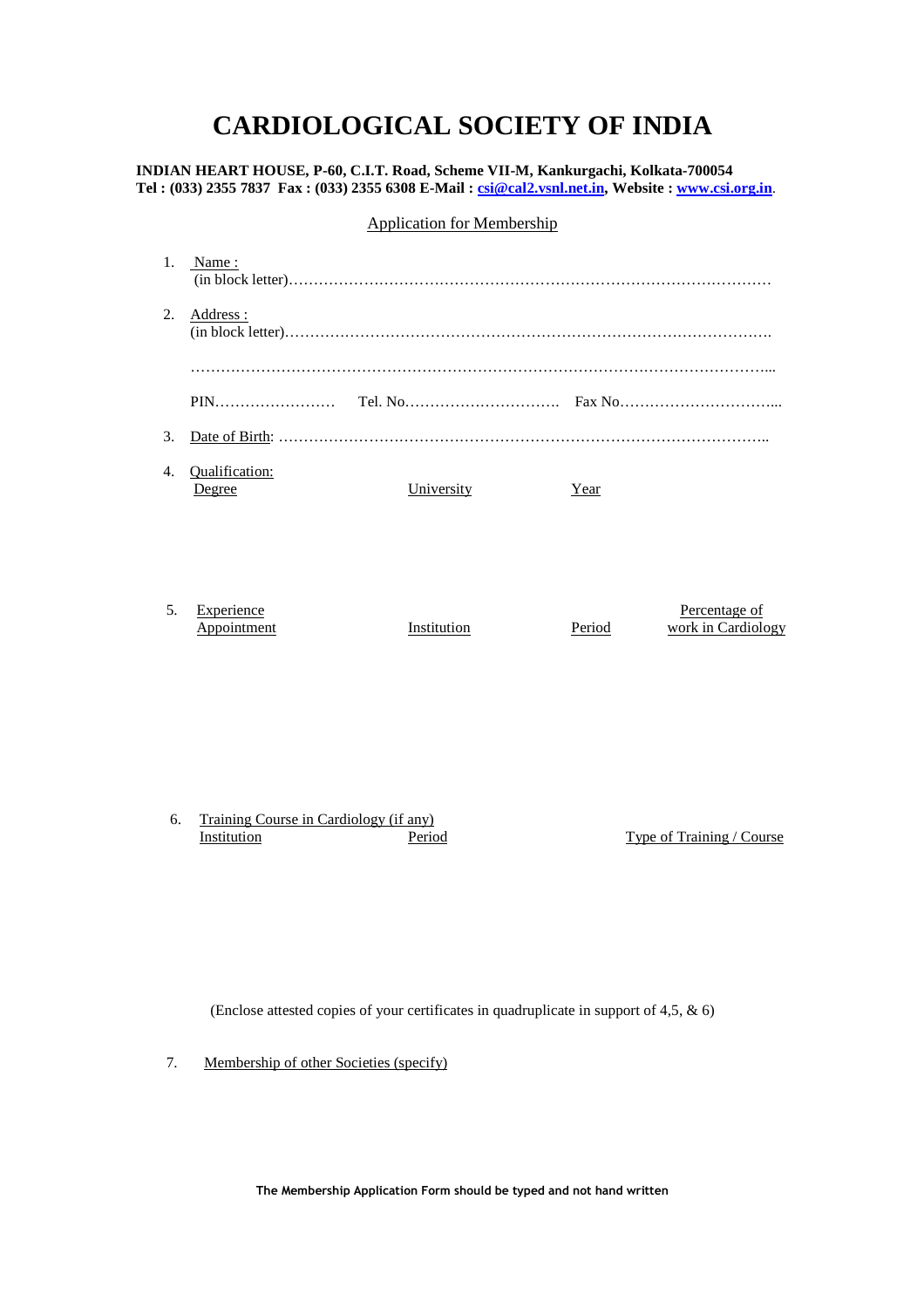## **CARDIOLOGICAL SOCIETY OF INDIA**

**INDIAN HEART HOUSE, P-60, C.I.T. Road, Scheme VII-M, Kankurgachi, Kolkata-700054 Tel : (033) 2355 7837 Fax : (033) 2355 6308 E-Mail : csi@cal2.vsnl.net.in, Website : www.csi.org.in**.

## Application for Membership

| 1. | Name:                     |             |             |                                     |
|----|---------------------------|-------------|-------------|-------------------------------------|
| 2. | Address:                  |             |             |                                     |
|    |                           |             |             |                                     |
|    |                           |             |             |                                     |
| 3. |                           |             |             |                                     |
| 4. | Qualification:<br>Degree  | University  | <u>Year</u> |                                     |
|    |                           |             |             |                                     |
| 5. | Experience<br>Appointment | Institution | Period      | Percentage of<br>work in Cardiology |

6. Training Course in Cardiology (if any) Institution **Period** Period Type of Training / Course

(Enclose attested copies of your certificates in quadruplicate in support of 4,5, & 6)

7. Membership of other Societies (specify)

**The Membership Application Form should be typed and not hand written**